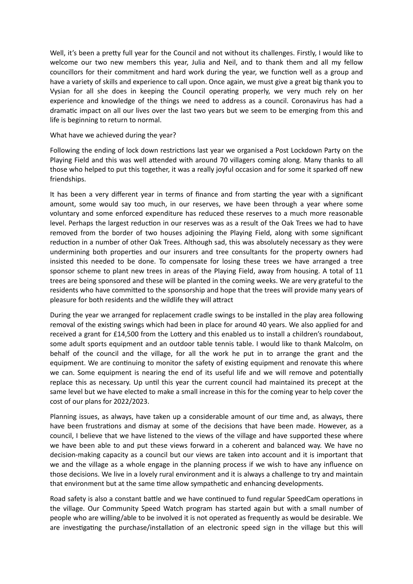Well, it's been a pretty full year for the Council and not without its challenges. Firstly, I would like to welcome our two new members this year, Julia and Neil, and to thank them and all my fellow councillors for their commitment and hard work during the year, we function well as a group and have a variety of skills and experience to call upon. Once again, we must give a great big thank you to Vysian for all she does in keeping the Council operating properly, we very much rely on her experience and knowledge of the things we need to address as a council. Coronavirus has had a dramatic impact on all our lives over the last two years but we seem to be emerging from this and life is beginning to return to normal.

## What have we achieved during the year?

Following the ending of lock down restrictions last year we organised a Post Lockdown Party on the Playing Field and this was well attended with around 70 villagers coming along. Many thanks to all those who helped to put this together, it was a really joyful occasion and for some it sparked off new friendships.

It has been a very different year in terms of finance and from starting the year with a significant amount, some would say too much, in our reserves, we have been through a year where some voluntary and some enforced expenditure has reduced these reserves to a much more reasonable level. Perhaps the largest reduction in our reserves was as a result of the Oak Trees we had to have removed from the border of two houses adjoining the Playing Field, along with some significant reduction in a number of other Oak Trees. Although sad, this was absolutely necessary as they were undermining both properties and our insurers and tree consultants for the property owners had insisted this needed to be done. To compensate for losing these trees we have arranged a tree sponsor scheme to plant new trees in areas of the Playing Field, away from housing. A total of 11 trees are being sponsored and these will be planted in the coming weeks. We are very grateful to the residents who have committed to the sponsorship and hope that the trees will provide many years of pleasure for both residents and the wildlife they will attract

During the year we arranged for replacement cradle swings to be installed in the play area following removal of the existing swings which had been in place for around 40 years. We also applied for and received a grant for £14,500 from the Lottery and this enabled us to install a children's roundabout, some adult sports equipment and an outdoor table tennis table. I would like to thank Malcolm, on behalf of the council and the village, for all the work he put in to arrange the grant and the equipment. We are continuing to monitor the safety of existing equipment and renovate this where we can. Some equipment is nearing the end of its useful life and we will remove and potentially replace this as necessary. Up until this year the current council had maintained its precept at the same level but we have elected to make a small increase in this for the coming year to help cover the cost of our plans for 2022/2023.

Planning issues, as always, have taken up a considerable amount of our time and, as always, there have been frustrations and dismay at some of the decisions that have been made. However, as a council, I believe that we have listened to the views of the village and have supported these where we have been able to and put these views forward in a coherent and balanced way. We have no decision-making capacity as a council but our views are taken into account and it is important that we and the village as a whole engage in the planning process if we wish to have any influence on those decisions. We live in a lovely rural environment and it is always a challenge to try and maintain that environment but at the same time allow sympathetic and enhancing developments.

Road safety is also a constant battle and we have continued to fund regular SpeedCam operations in the village. Our Community Speed Watch program has started again but with a small number of people who are willing/able to be involved it is not operated as frequently as would be desirable. We are investigating the purchase/installation of an electronic speed sign in the village but this will